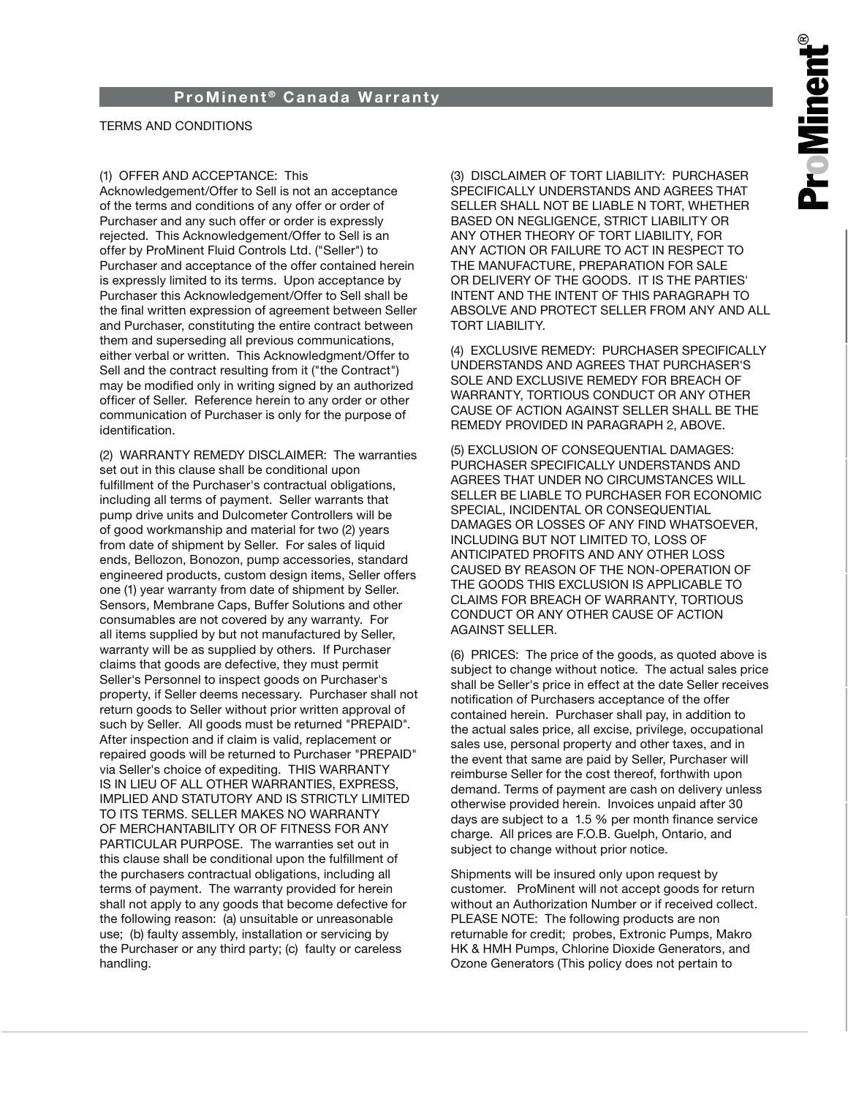## TERMS AND CONDITIONS

### (1) OFFER AND ACCEPTANCE: This

Acknowledgement/Offer to Sell is not an acceptance of the terms and conditions of any offer or order of Purchaser and any such offer or order is expressly rejected. This Acknowledgement/Offer to Sell is an offer by ProMinent Fluid Controls Ltd. ("Seller") to Purchaser and acceptance of the offer contained herein is expressly limited to its terms. Upon acceptance by Purchaser this Acknowledgement/Offer to Sell shall be the final written expression of agreement between Seller and Purchaser, constituting the entire contract between them and superseding all previous communications, either verbal or written. This Acknowledgment/Offer to Sell and the contract resulting from it ("the Contract") may be modified only in writing signed by an authorized officer of Seller. Reference herein to any order or other communication of Purchaser is only for the purpose of identification.

(2) WARRANTY REMEDY DISCLAIMER: The warranties set out in this clause shall be conditional upon fulfillment of the Purchaser's contractual obligations, including all terms of payment. Seller warrants that pump drive units and Dulcometer Controllers will be of good workmanship and material for two (2) years from date of shipment by Seller. For sales of liquid ends, Bellozon, Bonozon, pump accessories, standard engineered products, custom design items, Seller offers one (1) year warranty from date of shipment by Seller. Sensors, Membrane Caps, Buffer Solutions and other consumables are not covered by any warranty. For all items supplied by but not manufactured by Seller, warranty will be as supplied by others. If Purchaser claims that goods are defective, they must permit Seller's Personnel to inspect goods on Purchaser's property, if Seller deems necessary. Purchaser shall not return goods to Seller without prior written approval of such by Seller. All goods must be returned "PREPAID". After inspection and if claim is valid, replacement or repaired goods will be returned to Purchaser "PREPAID" via Seller's choice of expediting. THIS WARRANTY IS IN LIEU OF ALL OTHER WARRANTIES, EXPRESS, IMPLIED AND STATUTORY AND IS STRICTLY LIMITED TO ITS TERMS. SELLER MAKES NO WARRANTY OF MERCHANTABILITY OR OF FITNESS FOR ANY PARTICULAR PURPOSE. The warranties set out in this clause shall be conditional upon the fulfillment of the purchasers contractual obligations, including all terms of payment. The warranty provided for herein shall not apply to any goods that become defective for the following reason: (a) unsuitable or unreasonable use; (b) faulty assembly, installation or servicing by the Purchaser or any third party; (c) faulty or careless handling.

(3) DISCLAIMER OF TORT LIABILITY: PURCHASER SPECIFICALLY UNDERSTANDS AND AGREES THAT SELLER SHALL NOT BE LIABLE N TORT, WHETHER BASED ON NEGLIGENCE, STRICT LIABILITY OR ANY OTHER THEORY OF TORT LIABILITY, FOR ANY ACTION OR FAILURE TO ACT IN RESPECT TO THE MANUFACTURE, PREPARATION FOR SALE OR DELIVERY OF THE GOODS. IT IS THE PARTIES' INTENT AND THE INTENT OF THIS PARAGRAPH TO ABSOLVE AND PROTECT SELLER FROM ANY AND ALL TORT LIABILITY.

(4) EXCLUSIVE REMEDY: PURCHASER SPECIFICALLY UNDERSTANDS AND AGREES THAT PURCHASER'S SOLE AND EXCLUSIVE REMEDY FOR BREACH OF WARRANTY, TORTIOUS CONDUCT OR ANY OTHER CAUSE OF ACTION AGAINST SELLER SHALL BE THE REMEDY PROVIDED IN PARAGRAPH 2, ABOVE.

(5) EXCLUSION OF CONSEQUENTIAL DAMAGES: PURCHASER SPECIFICALLY UNDERSTANDS AND AGREES THAT UNDER NO CIRCUMSTANCES WILL SELLER BE LIABLE TO PURCHASER FOR ECONOMIC SPECIAL, INCIDENTAL OR CONSEQUENTIAL DAMAGES OR LOSSES OF ANY FIND WHATSOEVER, INCLUDING BUT NOT LIMITED TO, LOSS OF ANTICIPATED PROFITS AND ANY OTHER LOSS CAUSED BY REASON OF THE NON-OPERATION OF THE GOODS THIS EXCLUSION IS APPLICABLE TO CLAIMS FOR BREACH OF WARRANTY, TORTIOUS CONDUCT OR ANY OTHER CAUSE OF ACTION AGAINST SELLER.

(6) PRICES: The price of the goods, as quoted above is subject to change without notice. The actual sales price shall be Seller's price in effect at the date Seller receives notification of Purchasers acceptance of the offer contained herein. Purchaser shall pay, in addition to the actual sales price, all excise, privilege, occupational sales use, personal property and other taxes, and in the event that same are paid by Seller, Purchaser will reimburse Seller for the cost thereof, forthwith upon demand. Terms of payment are cash on delivery unless otherwise provided herein. Invoices unpaid after 30 days are subject to a 1.5 % per month finance service charge. All prices are F.O.B. Guelph, Ontario, and subject to change without prior notice.

Shipments will be insured only upon request by customer. ProMinent will not accept goods for return without an Authorization Number or if received collect. PLEASE NOTE: The following products are non returnable for credit; probes, Extronic Pumps, Makro HK & HMH Pumps, Chlorine Dioxide Generators, and Ozone Generators (This policy does not pertain to